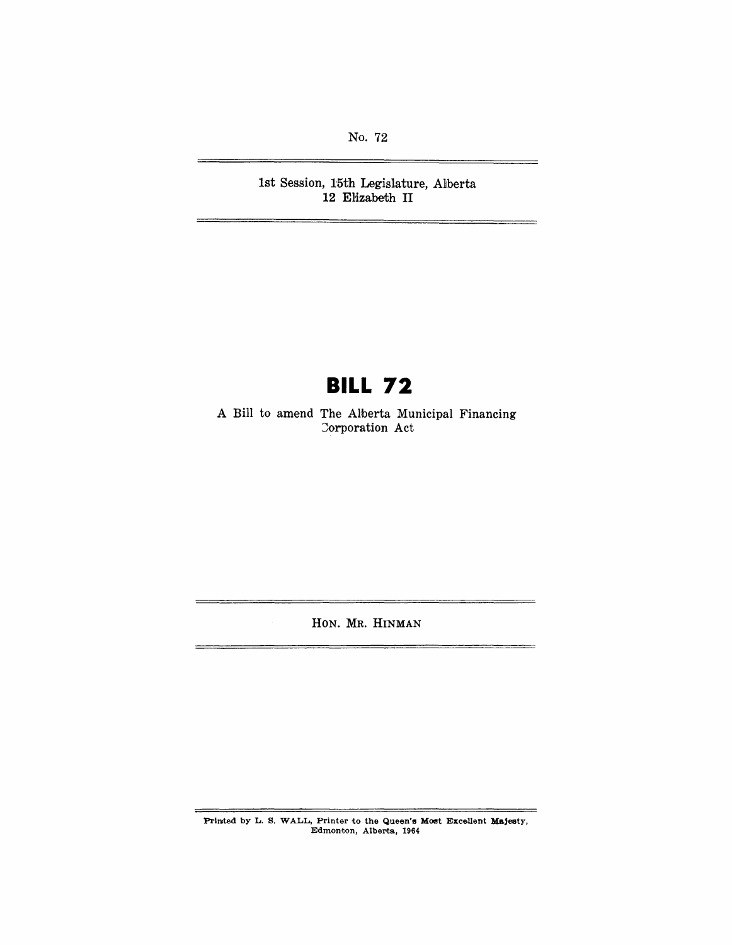No. 72

1st Session, 15th Legislature, Alberta 12 Elizabeth **II** 

# **BILL 72**

A Bill to amend The Alberta Municipal Financing Corporation Act

HON. MR. HINMAN

Printed by L. S. WALL, Printer to the Queen's Most Excellent Majesty, Edmonton, Alberta, 1964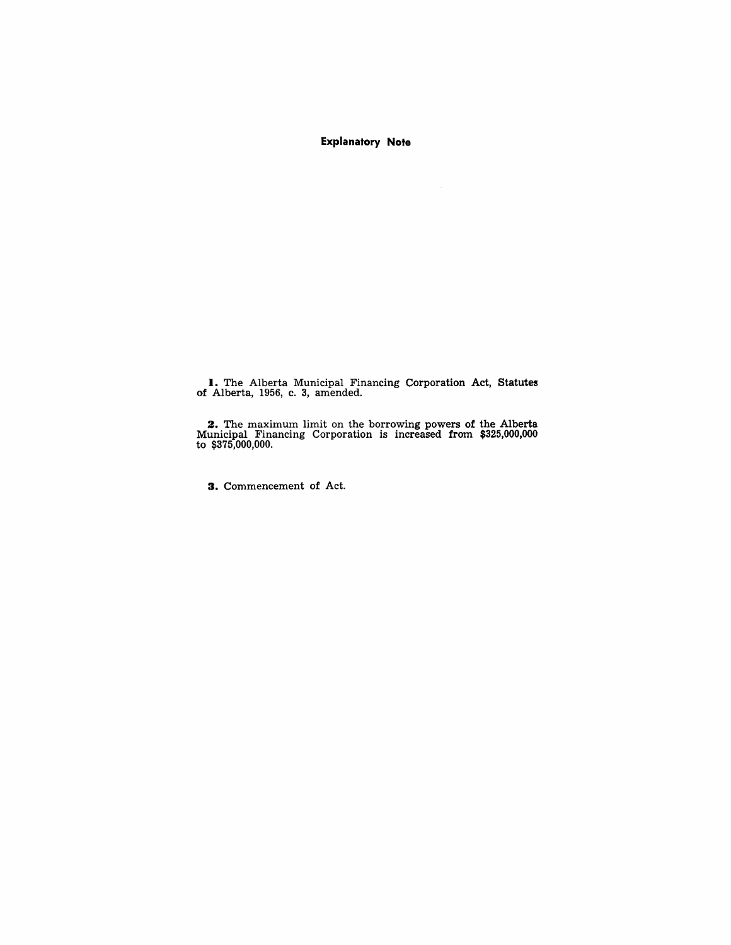**Explanatory Note** 

**I.** The Alberta Municipal Financing Corporation Act, Statutes of Alberta, 1956, c. 3, amended.

2. The maximum limit on the borrowing powers of the Alberta Municipal Financing Corporation is increased from \$325,000,000 to \$375,000,000.

3. Commencement of Act.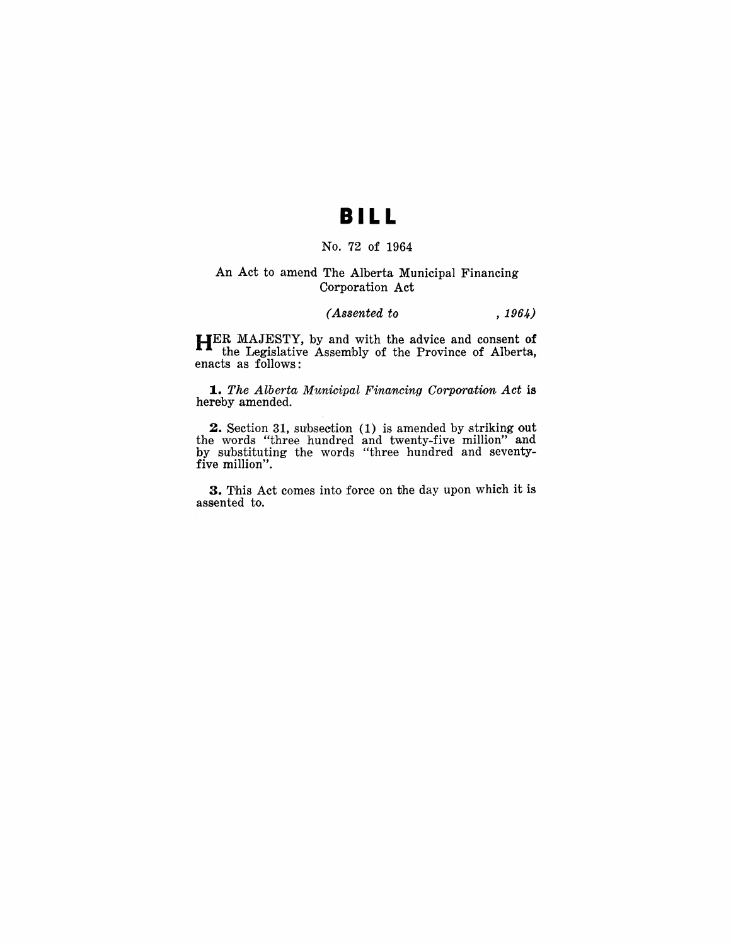## **BI L L**

### No. 72 of 1964

#### An Act to amend The Alberta Municipal Financing Corporation Act

#### *(Assented to* , 1964)

**HER** MAJESTY, by and with the advice and consent of the Legislative Assemhly of the Province of Alberta, enacts as follows:

**1.** The Alberta Municipal Financing Corporation Act is hereby amended.

**2.** Section 31, subsection (1) is amended by striking out the words "three hundred and twenty-five million" and by substituting the words "three hundred and seventyfive million".

**3.** This Act comes into force on the day upon which it is assented to.